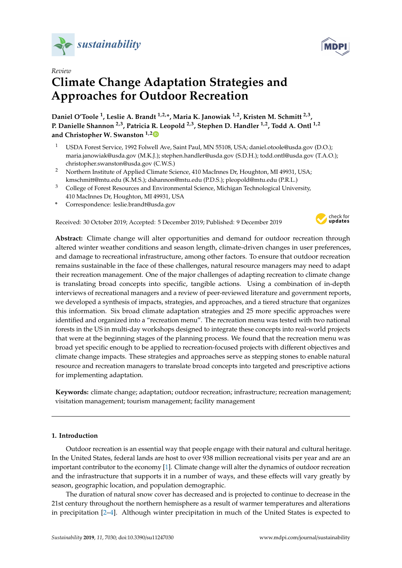



# *Review* **Climate Change Adaptation Strategies and Approaches for Outdoor Recreation**

**Daniel O'Toole <sup>1</sup> , Leslie A. Brandt 1,2,\*, Maria K. Janowiak 1,2, Kristen M. Schmitt 2,3 , P. Danielle Shannon 2,3, Patricia R. Leopold 2,3, Stephen D. Handler 1,2, Todd A. Ontl 1,2 and Christopher W. Swanston 1,[2](https://orcid.org/0000-0003-2167-0970)**

- <sup>1</sup> USDA Forest Service, 1992 Folwell Ave, Saint Paul, MN 55108, USA; daniel.otoole@usda.gov (D.O.); maria.janowiak@usda.gov (M.K.J.); stephen.handler@usda.gov (S.D.H.); todd.ontl@usda.gov (T.A.O.); christopher.swanston@usda.gov (C.W.S.)
- <sup>2</sup> Northern Institute of Applied Climate Science, 410 MacInnes Dr, Houghton, MI 49931, USA; kmschmitt@mtu.edu (K.M.S.); dshannon@mtu.edu (P.D.S.); pleopold@mtu.edu (P.R.L.)
- <sup>3</sup> College of Forest Resources and Environmental Science, Michigan Technological University, 410 MacInnes Dr, Houghton, MI 49931, USA
- **\*** Correspondence: leslie.brandt@usda.gov

Received: 30 October 2019; Accepted: 5 December 2019; Published: 9 December 2019



**Abstract:** Climate change will alter opportunities and demand for outdoor recreation through altered winter weather conditions and season length, climate-driven changes in user preferences, and damage to recreational infrastructure, among other factors. To ensure that outdoor recreation remains sustainable in the face of these challenges, natural resource managers may need to adapt their recreation management. One of the major challenges of adapting recreation to climate change is translating broad concepts into specific, tangible actions. Using a combination of in-depth interviews of recreational managers and a review of peer-reviewed literature and government reports, we developed a synthesis of impacts, strategies, and approaches, and a tiered structure that organizes this information. Six broad climate adaptation strategies and 25 more specific approaches were identified and organized into a "recreation menu". The recreation menu was tested with two national forests in the US in multi-day workshops designed to integrate these concepts into real-world projects that were at the beginning stages of the planning process. We found that the recreation menu was broad yet specific enough to be applied to recreation-focused projects with different objectives and climate change impacts. These strategies and approaches serve as stepping stones to enable natural resource and recreation managers to translate broad concepts into targeted and prescriptive actions for implementing adaptation.

**Keywords:** climate change; adaptation; outdoor recreation; infrastructure; recreation management; visitation management; tourism management; facility management

# **1. Introduction**

Outdoor recreation is an essential way that people engage with their natural and cultural heritage. In the United States, federal lands are host to over 938 million recreational visits per year and are an important contributor to the economy [\[1\]](#page-19-0). Climate change will alter the dynamics of outdoor recreation and the infrastructure that supports it in a number of ways, and these effects will vary greatly by season, geographic location, and population demographic.

The duration of natural snow cover has decreased and is projected to continue to decrease in the 21st century throughout the northern hemisphere as a result of warmer temperatures and alterations in precipitation [\[2](#page-19-1)[–4\]](#page-19-2). Although winter precipitation in much of the United States is expected to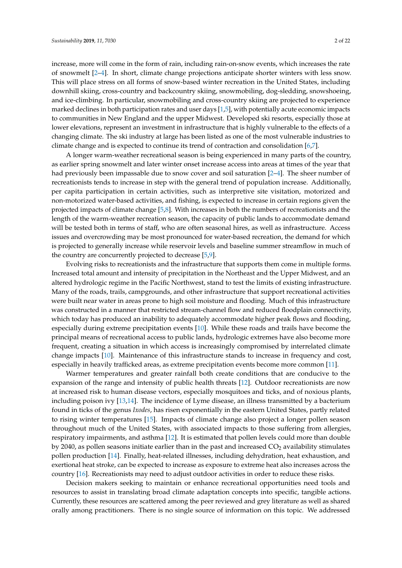increase, more will come in the form of rain, including rain-on-snow events, which increases the rate of snowmelt [\[2–](#page-19-1)[4\]](#page-19-2). In short, climate change projections anticipate shorter winters with less snow. This will place stress on all forms of snow-based winter recreation in the United States, including downhill skiing, cross-country and backcountry skiing, snowmobiling, dog-sledding, snowshoeing, and ice-climbing. In particular, snowmobiling and cross-country skiing are projected to experience marked declines in both participation rates and user days [\[1,](#page-19-0)[5\]](#page-19-3), with potentially acute economic impacts to communities in New England and the upper Midwest. Developed ski resorts, especially those at lower elevations, represent an investment in infrastructure that is highly vulnerable to the effects of a changing climate. The ski industry at large has been listed as one of the most vulnerable industries to climate change and is expected to continue its trend of contraction and consolidation [\[6,](#page-19-4)[7\]](#page-19-5).

A longer warm-weather recreational season is being experienced in many parts of the country, as earlier spring snowmelt and later winter onset increase access into areas at times of the year that had previously been impassable due to snow cover and soil saturation [\[2](#page-19-1)[–4\]](#page-19-2). The sheer number of recreationists tends to increase in step with the general trend of population increase. Additionally, per capita participation in certain activities, such as interpretive site visitation, motorized and non-motorized water-based activities, and fishing, is expected to increase in certain regions given the projected impacts of climate change [\[5](#page-19-3)[,8\]](#page-19-6). With increases in both the numbers of recreationists and the length of the warm-weather recreation season, the capacity of public lands to accommodate demand will be tested both in terms of staff, who are often seasonal hires, as well as infrastructure. Access issues and overcrowding may be most pronounced for water-based recreation, the demand for which is projected to generally increase while reservoir levels and baseline summer streamflow in much of the country are concurrently projected to decrease [\[5](#page-19-3)[,9\]](#page-19-7).

Evolving risks to recreationists and the infrastructure that supports them come in multiple forms. Increased total amount and intensity of precipitation in the Northeast and the Upper Midwest, and an altered hydrologic regime in the Pacific Northwest, stand to test the limits of existing infrastructure. Many of the roads, trails, campgrounds, and other infrastructure that support recreational activities were built near water in areas prone to high soil moisture and flooding. Much of this infrastructure was constructed in a manner that restricted stream-channel flow and reduced floodplain connectivity, which today has produced an inability to adequately accommodate higher peak flows and flooding, especially during extreme precipitation events [\[10\]](#page-19-8). While these roads and trails have become the principal means of recreational access to public lands, hydrologic extremes have also become more frequent, creating a situation in which access is increasingly compromised by interrelated climate change impacts [\[10\]](#page-19-8). Maintenance of this infrastructure stands to increase in frequency and cost, especially in heavily trafficked areas, as extreme precipitation events become more common [\[11\]](#page-19-9).

Warmer temperatures and greater rainfall both create conditions that are conducive to the expansion of the range and intensity of public health threats [\[12\]](#page-19-10). Outdoor recreationists are now at increased risk to human disease vectors, especially mosquitoes and ticks, and of noxious plants, including poison ivy [\[13,](#page-19-11)[14\]](#page-19-12). The incidence of Lyme disease, an illness transmitted by a bacterium found in ticks of the genus *Ixodes*, has risen exponentially in the eastern United States, partly related to rising winter temperatures [\[15\]](#page-19-13). Impacts of climate change also project a longer pollen season throughout much of the United States, with associated impacts to those suffering from allergies, respiratory impairments, and asthma [\[12\]](#page-19-10). It is estimated that pollen levels could more than double by 2040, as pollen seasons initiate earlier than in the past and increased  $CO<sub>2</sub>$  availability stimulates pollen production [\[14\]](#page-19-12). Finally, heat-related illnesses, including dehydration, heat exhaustion, and exertional heat stroke, can be expected to increase as exposure to extreme heat also increases across the country [\[16\]](#page-19-14). Recreationists may need to adjust outdoor activities in order to reduce these risks.

Decision makers seeking to maintain or enhance recreational opportunities need tools and resources to assist in translating broad climate adaptation concepts into specific, tangible actions. Currently, these resources are scattered among the peer reviewed and grey literature as well as shared orally among practitioners. There is no single source of information on this topic. We addressed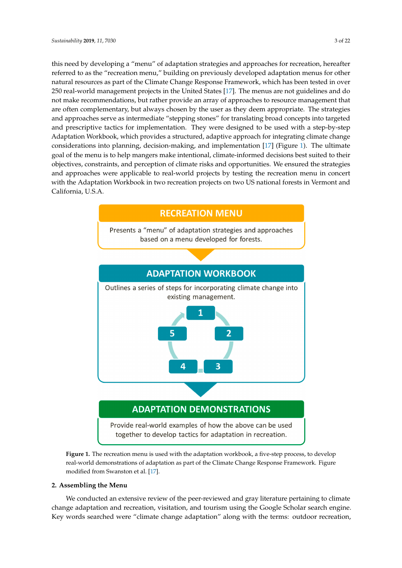this need by developing a "menu" of adaptation strategies and approaches for recreation, hereafter  $\frac{1}{2}$ referred to as the "recreation menu," building on previously developed adaptation menus for other natural resources as part of the Climate Change Response Framework, which has been tested in over 250 real-world management projects in the United States [\[17\]](#page-19-15). The menus are not guidelines and do not make recommendations, but rather provide an array of approaches to resource management that are often complementary, but always chosen by the user as they deem appropriate. The strategies and approaches serve as intermediate "stepping stones" for translating broad concepts into targeted and prescriptive tactics for implementation. They were designed to be used with a step-by-step Adaptation Workbook, which provides a structured, adaptive approach for integrating climate change considerations into planning, decision-making, and implementation [\[17\]](#page-19-15) (Figure [1\)](#page-2-0). The ultimate goal of the menu is to help mangers make intentional, climate-informed decisions best suited to their objectives, constraints, and perception of climate risks and opportunities. We ensured the strategies and approaches were applicable to real-world projects by testing the recreation menu in concert with the Adaptation Workbook in two recreation projects on two US national forests in Vermont and California, U.S.A. Vermont and California, U.S.A.

<span id="page-2-0"></span>

Figure 1. The recreation menu is used with the adaptation workbook, a five-step process, to develop real-world demonstrations of adaptation as part of the Climate Change Response Framework. Figure real-world demonstrations of adaptation as part of the Climate Change Response Framework. Figure modified from Swanston et al. [17]. modified from Swanston et al. [\[17\]](#page-19-15). Figure 1. The recreation menu is used with the adaptation workbook, a five-step process, to develop

#### **2. Assembling the Menu 2. Assembling the Menu**

We conducted an extensive review of the peer-reviewed and gray literature pertaining to climate change adaptation and recreation, visitation, and tourism using the Google Scholar search engine. change adaptation and recreation, visitation, and tourism using the Google Scholar search engine. Key words searched were "climate change adaptation" along with the terms: outdoor recreation, Key words searched were "climate change adaptation" along with the terms: outdoor recreation,We conducted an extensive review of the peer-reviewed and gray literature pertaining to climate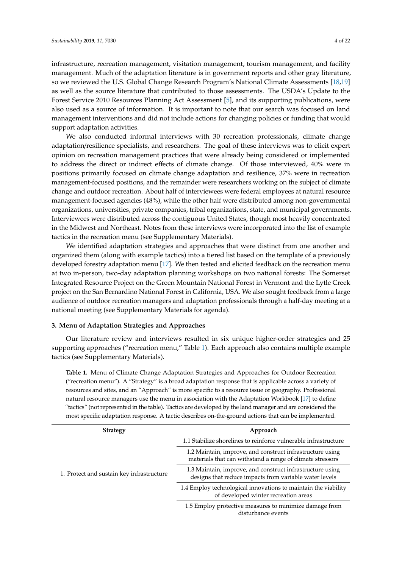infrastructure, recreation management, visitation management, tourism management, and facility management. Much of the adaptation literature is in government reports and other gray literature, so we reviewed the U.S. Global Change Research Program's National Climate Assessments [\[18](#page-19-16)[,19\]](#page-20-0) as well as the source literature that contributed to those assessments. The USDA's Update to the Forest Service 2010 Resources Planning Act Assessment [\[5\]](#page-19-3), and its supporting publications, were also used as a source of information. It is important to note that our search was focused on land management interventions and did not include actions for changing policies or funding that would support adaptation activities.

We also conducted informal interviews with 30 recreation professionals, climate change adaptation/resilience specialists, and researchers. The goal of these interviews was to elicit expert opinion on recreation management practices that were already being considered or implemented to address the direct or indirect effects of climate change. Of those interviewed, 40% were in positions primarily focused on climate change adaptation and resilience, 37% were in recreation management-focused positions, and the remainder were researchers working on the subject of climate change and outdoor recreation. About half of interviewees were federal employees at natural resource management-focused agencies (48%), while the other half were distributed among non-governmental organizations, universities, private companies, tribal organizations, state, and municipal governments. Interviewees were distributed across the contiguous United States, though most heavily concentrated in the Midwest and Northeast. Notes from these interviews were incorporated into the list of example tactics in the recreation menu (see Supplementary Materials).

We identified adaptation strategies and approaches that were distinct from one another and organized them (along with example tactics) into a tiered list based on the template of a previously developed forestry adaptation menu [\[17\]](#page-19-15). We then tested and elicited feedback on the recreation menu at two in-person, two-day adaptation planning workshops on two national forests: The Somerset Integrated Resource Project on the Green Mountain National Forest in Vermont and the Lytle Creek project on the San Bernardino National Forest in California, USA. We also sought feedback from a large audience of outdoor recreation managers and adaptation professionals through a half-day meeting at a national meeting (see Supplementary Materials for agenda).

# **3. Menu of Adaptation Strategies and Approaches**

Our literature review and interviews resulted in six unique higher-order strategies and 25 supporting approaches ("recreation menu," Table [1\)](#page-4-0). Each approach also contains multiple example tactics (see Supplementary Materials).

**Table 1.** Menu of Climate Change Adaptation Strategies and Approaches for Outdoor Recreation ("recreation menu"). A "Strategy" is a broad adaptation response that is applicable across a variety of resources and sites, and an "Approach" is more specific to a resource issue or geography. Professional natural resource managers use the menu in association with the Adaptation Workbook [\[17\]](#page-19-15) to define "tactics" (not represented in the table). Tactics are developed by the land manager and are considered the most specific adaptation response. A tactic describes on-the-ground actions that can be implemented.

| <b>Strategy</b>                           | Approach                                                                                                               |
|-------------------------------------------|------------------------------------------------------------------------------------------------------------------------|
| 1. Protect and sustain key infrastructure | 1.1 Stabilize shorelines to reinforce vulnerable infrastructure                                                        |
|                                           | 1.2 Maintain, improve, and construct infrastructure using<br>materials that can withstand a range of climate stressors |
|                                           | 1.3 Maintain, improve, and construct infrastructure using<br>designs that reduce impacts from variable water levels    |
|                                           | 1.4 Employ technological innovations to maintain the viability<br>of developed winter recreation areas                 |
|                                           | 1.5 Employ protective measures to minimize damage from<br>disturbance events                                           |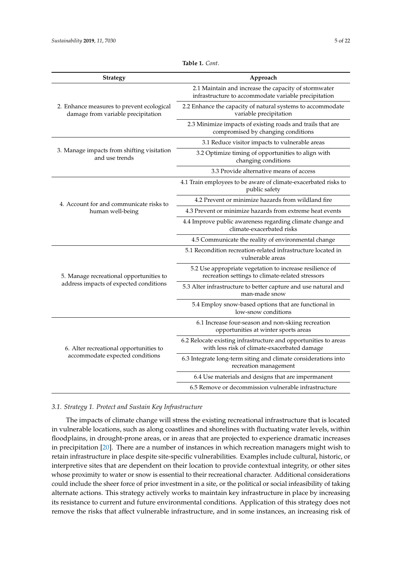<span id="page-4-0"></span>

| <b>Strategy</b>                                                                   | Approach                                                                                                        |
|-----------------------------------------------------------------------------------|-----------------------------------------------------------------------------------------------------------------|
|                                                                                   | 2.1 Maintain and increase the capacity of stormwater<br>infrastructure to accommodate variable precipitation    |
| 2. Enhance measures to prevent ecological<br>damage from variable precipitation   | 2.2 Enhance the capacity of natural systems to accommodate<br>variable precipitation                            |
|                                                                                   | 2.3 Minimize impacts of existing roads and trails that are<br>compromised by changing conditions                |
|                                                                                   | 3.1 Reduce visitor impacts to vulnerable areas                                                                  |
| 3. Manage impacts from shifting visitation<br>and use trends                      | 3.2 Optimize timing of opportunities to align with<br>changing conditions                                       |
|                                                                                   | 3.3 Provide alternative means of access                                                                         |
|                                                                                   | 4.1 Train employees to be aware of climate-exacerbated risks to<br>public safety                                |
| 4. Account for and communicate risks to                                           | 4.2 Prevent or minimize hazards from wildland fire                                                              |
| human well-being                                                                  | 4.3 Prevent or minimize hazards from extreme heat events                                                        |
|                                                                                   | 4.4 Improve public awareness regarding climate change and<br>climate-exacerbated risks                          |
|                                                                                   | 4.5 Communicate the reality of environmental change                                                             |
| 5. Manage recreational opportunities to<br>address impacts of expected conditions | 5.1 Recondition recreation-related infrastructure located in<br>vulnerable areas                                |
|                                                                                   | 5.2 Use appropriate vegetation to increase resilience of<br>recreation settings to climate-related stressors    |
|                                                                                   | 5.3 Alter infrastructure to better capture and use natural and<br>man-made snow                                 |
|                                                                                   | 5.4 Employ snow-based options that are functional in<br>low-snow conditions                                     |
| 6. Alter recreational opportunities to<br>accommodate expected conditions         | 6.1 Increase four-season and non-skiing recreation<br>opportunities at winter sports areas                      |
|                                                                                   | 6.2 Relocate existing infrastructure and opportunities to areas<br>with less risk of climate-exacerbated damage |
|                                                                                   | 6.3 Integrate long-term siting and climate considerations into<br>recreation management                         |
|                                                                                   | 6.4 Use materials and designs that are impermanent                                                              |
|                                                                                   | 6.5 Remove or decommission vulnerable infrastructure                                                            |

**Table 1.** *Cont*.

# *3.1. Strategy 1. Protect and Sustain Key Infrastructure*

The impacts of climate change will stress the existing recreational infrastructure that is located in vulnerable locations, such as along coastlines and shorelines with fluctuating water levels, within floodplains, in drought-prone areas, or in areas that are projected to experience dramatic increases in precipitation [\[20\]](#page-20-1). There are a number of instances in which recreation managers might wish to retain infrastructure in place despite site-specific vulnerabilities. Examples include cultural, historic, or interpretive sites that are dependent on their location to provide contextual integrity, or other sites whose proximity to water or snow is essential to their recreational character. Additional considerations could include the sheer force of prior investment in a site, or the political or social infeasibility of taking alternate actions. This strategy actively works to maintain key infrastructure in place by increasing its resistance to current and future environmental conditions. Application of this strategy does not remove the risks that affect vulnerable infrastructure, and in some instances, an increasing risk of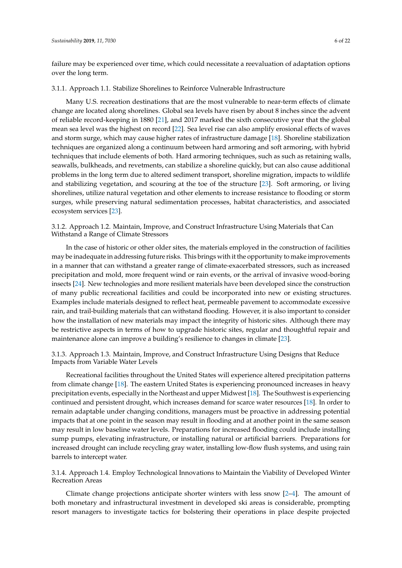failure may be experienced over time, which could necessitate a reevaluation of adaptation options over the long term.

#### 3.1.1. Approach 1.1. Stabilize Shorelines to Reinforce Vulnerable Infrastructure

Many U.S. recreation destinations that are the most vulnerable to near-term effects of climate change are located along shorelines. Global sea levels have risen by about 8 inches since the advent of reliable record-keeping in 1880 [\[21\]](#page-20-2), and 2017 marked the sixth consecutive year that the global mean sea level was the highest on record [\[22\]](#page-20-3). Sea level rise can also amplify erosional effects of waves and storm surge, which may cause higher rates of infrastructure damage [\[18\]](#page-19-16). Shoreline stabilization techniques are organized along a continuum between hard armoring and soft armoring, with hybrid techniques that include elements of both. Hard armoring techniques, such as such as retaining walls, seawalls, bulkheads, and revetments, can stabilize a shoreline quickly, but can also cause additional problems in the long term due to altered sediment transport, shoreline migration, impacts to wildlife and stabilizing vegetation, and scouring at the toe of the structure [\[23\]](#page-20-4). Soft armoring, or living shorelines, utilize natural vegetation and other elements to increase resistance to flooding or storm surges, while preserving natural sedimentation processes, habitat characteristics, and associated ecosystem services [\[23\]](#page-20-4).

3.1.2. Approach 1.2. Maintain, Improve, and Construct Infrastructure Using Materials that Can Withstand a Range of Climate Stressors

In the case of historic or other older sites, the materials employed in the construction of facilities may be inadequate in addressing future risks. This brings with it the opportunity to make improvements in a manner that can withstand a greater range of climate-exacerbated stressors, such as increased precipitation and mold, more frequent wind or rain events, or the arrival of invasive wood-boring insects [\[24\]](#page-20-5). New technologies and more resilient materials have been developed since the construction of many public recreational facilities and could be incorporated into new or existing structures. Examples include materials designed to reflect heat, permeable pavement to accommodate excessive rain, and trail-building materials that can withstand flooding. However, it is also important to consider how the installation of new materials may impact the integrity of historic sites. Although there may be restrictive aspects in terms of how to upgrade historic sites, regular and thoughtful repair and maintenance alone can improve a building's resilience to changes in climate [\[23\]](#page-20-4).

3.1.3. Approach 1.3. Maintain, Improve, and Construct Infrastructure Using Designs that Reduce Impacts from Variable Water Levels

Recreational facilities throughout the United States will experience altered precipitation patterns from climate change [\[18\]](#page-19-16). The eastern United States is experiencing pronounced increases in heavy precipitation events, especially in the Northeast and upper Midwest [\[18\]](#page-19-16). The Southwest is experiencing continued and persistent drought, which increases demand for scarce water resources [\[18\]](#page-19-16). In order to remain adaptable under changing conditions, managers must be proactive in addressing potential impacts that at one point in the season may result in flooding and at another point in the same season may result in low baseline water levels. Preparations for increased flooding could include installing sump pumps, elevating infrastructure, or installing natural or artificial barriers. Preparations for increased drought can include recycling gray water, installing low-flow flush systems, and using rain barrels to intercept water.

3.1.4. Approach 1.4. Employ Technological Innovations to Maintain the Viability of Developed Winter Recreation Areas

Climate change projections anticipate shorter winters with less snow [\[2](#page-19-1)[–4\]](#page-19-2). The amount of both monetary and infrastructural investment in developed ski areas is considerable, prompting resort managers to investigate tactics for bolstering their operations in place despite projected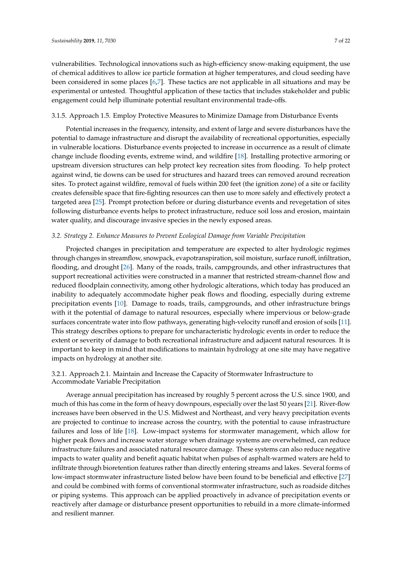vulnerabilities. Technological innovations such as high-efficiency snow-making equipment, the use of chemical additives to allow ice particle formation at higher temperatures, and cloud seeding have been considered in some places [\[6,](#page-19-4)[7\]](#page-19-5). These tactics are not applicable in all situations and may be experimental or untested. Thoughtful application of these tactics that includes stakeholder and public engagement could help illuminate potential resultant environmental trade-offs.

# 3.1.5. Approach 1.5. Employ Protective Measures to Minimize Damage from Disturbance Events

Potential increases in the frequency, intensity, and extent of large and severe disturbances have the potential to damage infrastructure and disrupt the availability of recreational opportunities, especially in vulnerable locations. Disturbance events projected to increase in occurrence as a result of climate change include flooding events, extreme wind, and wildfire [\[18\]](#page-19-16). Installing protective armoring or upstream diversion structures can help protect key recreation sites from flooding. To help protect against wind, tie downs can be used for structures and hazard trees can removed around recreation sites. To protect against wildfire, removal of fuels within 200 feet (the ignition zone) of a site or facility creates defensible space that fire-fighting resources can then use to more safely and effectively protect a targeted area [\[25\]](#page-20-6). Prompt protection before or during disturbance events and revegetation of sites following disturbance events helps to protect infrastructure, reduce soil loss and erosion, maintain water quality, and discourage invasive species in the newly exposed areas.

# *3.2. Strategy 2. Enhance Measures to Prevent Ecological Damage from Variable Precipitation*

Projected changes in precipitation and temperature are expected to alter hydrologic regimes through changes in streamflow, snowpack, evapotranspiration, soil moisture, surface runoff, infiltration, flooding, and drought [\[26\]](#page-20-7). Many of the roads, trails, campgrounds, and other infrastructures that support recreational activities were constructed in a manner that restricted stream-channel flow and reduced floodplain connectivity, among other hydrologic alterations, which today has produced an inability to adequately accommodate higher peak flows and flooding, especially during extreme precipitation events [\[10\]](#page-19-8). Damage to roads, trails, campgrounds, and other infrastructure brings with it the potential of damage to natural resources, especially where impervious or below-grade surfaces concentrate water into flow pathways, generating high-velocity runoff and erosion of soils [\[11\]](#page-19-9). This strategy describes options to prepare for uncharacteristic hydrologic events in order to reduce the extent or severity of damage to both recreational infrastructure and adjacent natural resources. It is important to keep in mind that modifications to maintain hydrology at one site may have negative impacts on hydrology at another site.

# 3.2.1. Approach 2.1. Maintain and Increase the Capacity of Stormwater Infrastructure to Accommodate Variable Precipitation

Average annual precipitation has increased by roughly 5 percent across the U.S. since 1900, and much of this has come in the form of heavy downpours, especially over the last 50 years [\[21\]](#page-20-2). River-flow increases have been observed in the U.S. Midwest and Northeast, and very heavy precipitation events are projected to continue to increase across the country, with the potential to cause infrastructure failures and loss of life [\[18\]](#page-19-16). Low-impact systems for stormwater management, which allow for higher peak flows and increase water storage when drainage systems are overwhelmed, can reduce infrastructure failures and associated natural resource damage. These systems can also reduce negative impacts to water quality and benefit aquatic habitat when pulses of asphalt-warmed waters are held to infiltrate through bioretention features rather than directly entering streams and lakes. Several forms of low-impact stormwater infrastructure listed below have been found to be beneficial and effective [\[27\]](#page-20-8) and could be combined with forms of conventional stormwater infrastructure, such as roadside ditches or piping systems. This approach can be applied proactively in advance of precipitation events or reactively after damage or disturbance present opportunities to rebuild in a more climate-informed and resilient manner.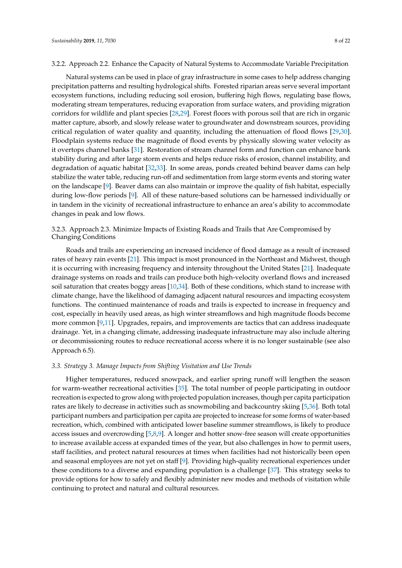# 3.2.2. Approach 2.2. Enhance the Capacity of Natural Systems to Accommodate Variable Precipitation

Natural systems can be used in place of gray infrastructure in some cases to help address changing precipitation patterns and resulting hydrological shifts. Forested riparian areas serve several important ecosystem functions, including reducing soil erosion, buffering high flows, regulating base flows, moderating stream temperatures, reducing evaporation from surface waters, and providing migration corridors for wildlife and plant species [\[28](#page-20-9)[,29\]](#page-20-10). Forest floors with porous soil that are rich in organic matter capture, absorb, and slowly release water to groundwater and downstream sources, providing critical regulation of water quality and quantity, including the attenuation of flood flows [\[29,](#page-20-10)[30\]](#page-20-11). Floodplain systems reduce the magnitude of flood events by physically slowing water velocity as it overtops channel banks [\[31\]](#page-20-12). Restoration of stream channel form and function can enhance bank stability during and after large storm events and helps reduce risks of erosion, channel instability, and degradation of aquatic habitat [\[32,](#page-20-13)[33\]](#page-20-14). In some areas, ponds created behind beaver dams can help stabilize the water table, reducing run-off and sedimentation from large storm events and storing water on the landscape [\[9\]](#page-19-7). Beaver dams can also maintain or improve the quality of fish habitat, especially during low-flow periods [\[9\]](#page-19-7). All of these nature-based solutions can be harnessed individually or in tandem in the vicinity of recreational infrastructure to enhance an area's ability to accommodate changes in peak and low flows.

# 3.2.3. Approach 2.3. Minimize Impacts of Existing Roads and Trails that Are Compromised by Changing Conditions

Roads and trails are experiencing an increased incidence of flood damage as a result of increased rates of heavy rain events [\[21\]](#page-20-2). This impact is most pronounced in the Northeast and Midwest, though it is occurring with increasing frequency and intensity throughout the United States [\[21\]](#page-20-2). Inadequate drainage systems on roads and trails can produce both high-velocity overland flows and increased soil saturation that creates boggy areas [\[10,](#page-19-8)[34\]](#page-20-15). Both of these conditions, which stand to increase with climate change, have the likelihood of damaging adjacent natural resources and impacting ecosystem functions. The continued maintenance of roads and trails is expected to increase in frequency and cost, especially in heavily used areas, as high winter streamflows and high magnitude floods become more common [\[9](#page-19-7)[,11\]](#page-19-9). Upgrades, repairs, and improvements are tactics that can address inadequate drainage. Yet, in a changing climate, addressing inadequate infrastructure may also include altering or decommissioning routes to reduce recreational access where it is no longer sustainable (see also Approach 6.5).

# *3.3. Strategy 3. Manage Impacts from Shifting Visitation and Use Trends*

Higher temperatures, reduced snowpack, and earlier spring runoff will lengthen the season for warm-weather recreational activities [\[35\]](#page-20-16). The total number of people participating in outdoor recreation is expected to grow along with projected population increases, though per capita participation rates are likely to decrease in activities such as snowmobiling and backcountry skiing [\[5,](#page-19-3)[36\]](#page-20-17). Both total participant numbers and participation per capita are projected to increase for some forms of water-based recreation, which, combined with anticipated lower baseline summer streamflows, is likely to produce access issues and overcrowding [\[5](#page-19-3)[,8,](#page-19-6)[9\]](#page-19-7). A longer and hotter snow-free season will create opportunities to increase available access at expanded times of the year, but also challenges in how to permit users, staff facilities, and protect natural resources at times when facilities had not historically been open and seasonal employees are not yet on staff [\[9\]](#page-19-7). Providing high-quality recreational experiences under these conditions to a diverse and expanding population is a challenge [\[37\]](#page-20-18). This strategy seeks to provide options for how to safely and flexibly administer new modes and methods of visitation while continuing to protect and natural and cultural resources.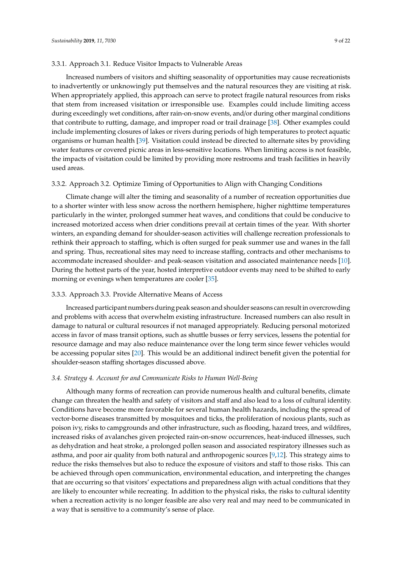## 3.3.1. Approach 3.1. Reduce Visitor Impacts to Vulnerable Areas

Increased numbers of visitors and shifting seasonality of opportunities may cause recreationists to inadvertently or unknowingly put themselves and the natural resources they are visiting at risk. When appropriately applied, this approach can serve to protect fragile natural resources from risks that stem from increased visitation or irresponsible use. Examples could include limiting access during exceedingly wet conditions, after rain-on-snow events, and/or during other marginal conditions that contribute to rutting, damage, and improper road or trail drainage [\[38\]](#page-20-19). Other examples could include implementing closures of lakes or rivers during periods of high temperatures to protect aquatic organisms or human health [\[39\]](#page-20-20). Visitation could instead be directed to alternate sites by providing water features or covered picnic areas in less-sensitive locations. When limiting access is not feasible, the impacts of visitation could be limited by providing more restrooms and trash facilities in heavily used areas.

# 3.3.2. Approach 3.2. Optimize Timing of Opportunities to Align with Changing Conditions

Climate change will alter the timing and seasonality of a number of recreation opportunities due to a shorter winter with less snow across the northern hemisphere, higher nighttime temperatures particularly in the winter, prolonged summer heat waves, and conditions that could be conducive to increased motorized access when drier conditions prevail at certain times of the year. With shorter winters, an expanding demand for shoulder-season activities will challenge recreation professionals to rethink their approach to staffing, which is often surged for peak summer use and wanes in the fall and spring. Thus, recreational sites may need to increase staffing, contracts and other mechanisms to accommodate increased shoulder- and peak-season visitation and associated maintenance needs [\[10\]](#page-19-8). During the hottest parts of the year, hosted interpretive outdoor events may need to be shifted to early morning or evenings when temperatures are cooler [\[35\]](#page-20-16).

#### 3.3.3. Approach 3.3. Provide Alternative Means of Access

Increased participant numbers during peak season and shoulder seasons can result in overcrowding and problems with access that overwhelm existing infrastructure. Increased numbers can also result in damage to natural or cultural resources if not managed appropriately. Reducing personal motorized access in favor of mass transit options, such as shuttle busses or ferry services, lessens the potential for resource damage and may also reduce maintenance over the long term since fewer vehicles would be accessing popular sites [\[20\]](#page-20-1). This would be an additional indirect benefit given the potential for shoulder-season staffing shortages discussed above.

#### *3.4. Strategy 4. Account for and Communicate Risks to Human Well-Being*

Although many forms of recreation can provide numerous health and cultural benefits, climate change can threaten the health and safety of visitors and staff and also lead to a loss of cultural identity. Conditions have become more favorable for several human health hazards, including the spread of vector-borne diseases transmitted by mosquitoes and ticks, the proliferation of noxious plants, such as poison ivy, risks to campgrounds and other infrastructure, such as flooding, hazard trees, and wildfires, increased risks of avalanches given projected rain-on-snow occurrences, heat-induced illnesses, such as dehydration and heat stroke, a prolonged pollen season and associated respiratory illnesses such as asthma, and poor air quality from both natural and anthropogenic sources [\[9](#page-19-7)[,12\]](#page-19-10). This strategy aims to reduce the risks themselves but also to reduce the exposure of visitors and staff to those risks. This can be achieved through open communication, environmental education, and interpreting the changes that are occurring so that visitors' expectations and preparedness align with actual conditions that they are likely to encounter while recreating. In addition to the physical risks, the risks to cultural identity when a recreation activity is no longer feasible are also very real and may need to be communicated in a way that is sensitive to a community's sense of place.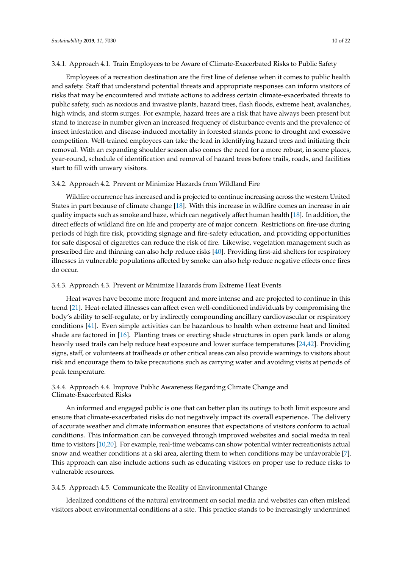# 3.4.1. Approach 4.1. Train Employees to be Aware of Climate-Exacerbated Risks to Public Safety

Employees of a recreation destination are the first line of defense when it comes to public health and safety. Staff that understand potential threats and appropriate responses can inform visitors of risks that may be encountered and initiate actions to address certain climate-exacerbated threats to public safety, such as noxious and invasive plants, hazard trees, flash floods, extreme heat, avalanches, high winds, and storm surges. For example, hazard trees are a risk that have always been present but stand to increase in number given an increased frequency of disturbance events and the prevalence of insect infestation and disease-induced mortality in forested stands prone to drought and excessive competition. Well-trained employees can take the lead in identifying hazard trees and initiating their removal. With an expanding shoulder season also comes the need for a more robust, in some places, year-round, schedule of identification and removal of hazard trees before trails, roads, and facilities start to fill with unwary visitors.

# 3.4.2. Approach 4.2. Prevent or Minimize Hazards from Wildland Fire

Wildfire occurrence has increased and is projected to continue increasing across the western United States in part because of climate change [\[18\]](#page-19-16). With this increase in wildfire comes an increase in air quality impacts such as smoke and haze, which can negatively affect human health [\[18\]](#page-19-16). In addition, the direct effects of wildland fire on life and property are of major concern. Restrictions on fire-use during periods of high fire risk, providing signage and fire-safety education, and providing opportunities for safe disposal of cigarettes can reduce the risk of fire. Likewise, vegetation management such as prescribed fire and thinning can also help reduce risks [\[40\]](#page-20-21). Providing first-aid shelters for respiratory illnesses in vulnerable populations affected by smoke can also help reduce negative effects once fires do occur.

## 3.4.3. Approach 4.3. Prevent or Minimize Hazards from Extreme Heat Events

Heat waves have become more frequent and more intense and are projected to continue in this trend [\[21\]](#page-20-2). Heat-related illnesses can affect even well-conditioned individuals by compromising the body's ability to self-regulate, or by indirectly compounding ancillary cardiovascular or respiratory conditions [\[41\]](#page-20-22). Even simple activities can be hazardous to health when extreme heat and limited shade are factored in [\[16\]](#page-19-14). Planting trees or erecting shade structures in open park lands or along heavily used trails can help reduce heat exposure and lower surface temperatures [\[24,](#page-20-5)[42\]](#page-20-23). Providing signs, staff, or volunteers at trailheads or other critical areas can also provide warnings to visitors about risk and encourage them to take precautions such as carrying water and avoiding visits at periods of peak temperature.

# 3.4.4. Approach 4.4. Improve Public Awareness Regarding Climate Change and Climate-Exacerbated Risks

An informed and engaged public is one that can better plan its outings to both limit exposure and ensure that climate-exacerbated risks do not negatively impact its overall experience. The delivery of accurate weather and climate information ensures that expectations of visitors conform to actual conditions. This information can be conveyed through improved websites and social media in real time to visitors [\[10,](#page-19-8)[20\]](#page-20-1). For example, real-time webcams can show potential winter recreationists actual snow and weather conditions at a ski area, alerting them to when conditions may be unfavorable [\[7\]](#page-19-5). This approach can also include actions such as educating visitors on proper use to reduce risks to vulnerable resources.

# 3.4.5. Approach 4.5. Communicate the Reality of Environmental Change

Idealized conditions of the natural environment on social media and websites can often mislead visitors about environmental conditions at a site. This practice stands to be increasingly undermined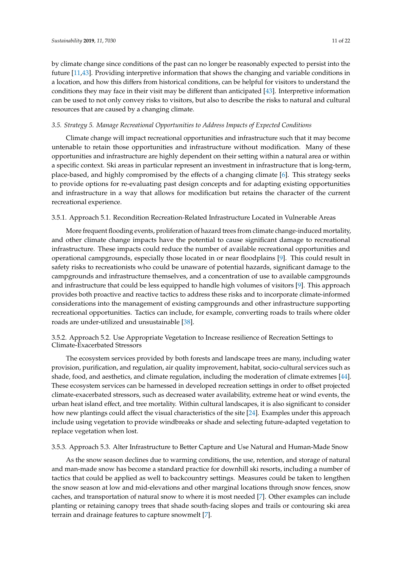by climate change since conditions of the past can no longer be reasonably expected to persist into the future [\[11,](#page-19-9)[43\]](#page-20-24). Providing interpretive information that shows the changing and variable conditions in a location, and how this differs from historical conditions, can be helpful for visitors to understand the conditions they may face in their visit may be different than anticipated [\[43\]](#page-20-24). Interpretive information can be used to not only convey risks to visitors, but also to describe the risks to natural and cultural resources that are caused by a changing climate.

# *3.5. Strategy 5. Manage Recreational Opportunities to Address Impacts of Expected Conditions*

Climate change will impact recreational opportunities and infrastructure such that it may become untenable to retain those opportunities and infrastructure without modification. Many of these opportunities and infrastructure are highly dependent on their setting within a natural area or within a specific context. Ski areas in particular represent an investment in infrastructure that is long-term, place-based, and highly compromised by the effects of a changing climate [\[6\]](#page-19-4). This strategy seeks to provide options for re-evaluating past design concepts and for adapting existing opportunities and infrastructure in a way that allows for modification but retains the character of the current recreational experience.

# 3.5.1. Approach 5.1. Recondition Recreation-Related Infrastructure Located in Vulnerable Areas

More frequent flooding events, proliferation of hazard trees from climate change-induced mortality, and other climate change impacts have the potential to cause significant damage to recreational infrastructure. These impacts could reduce the number of available recreational opportunities and operational campgrounds, especially those located in or near floodplains [\[9\]](#page-19-7). This could result in safety risks to recreationists who could be unaware of potential hazards, significant damage to the campgrounds and infrastructure themselves, and a concentration of use to available campgrounds and infrastructure that could be less equipped to handle high volumes of visitors [\[9\]](#page-19-7). This approach provides both proactive and reactive tactics to address these risks and to incorporate climate-informed considerations into the management of existing campgrounds and other infrastructure supporting recreational opportunities. Tactics can include, for example, converting roads to trails where older roads are under-utilized and unsustainable [\[38\]](#page-20-19).

# 3.5.2. Approach 5.2. Use Appropriate Vegetation to Increase resilience of Recreation Settings to Climate-Exacerbated Stressors

The ecosystem services provided by both forests and landscape trees are many, including water provision, purification, and regulation, air quality improvement, habitat, socio-cultural services such as shade, food, and aesthetics, and climate regulation, including the moderation of climate extremes [\[44\]](#page-21-0). These ecosystem services can be harnessed in developed recreation settings in order to offset projected climate-exacerbated stressors, such as decreased water availability, extreme heat or wind events, the urban heat island effect, and tree mortality. Within cultural landscapes, it is also significant to consider how new plantings could affect the visual characteristics of the site [\[24\]](#page-20-5). Examples under this approach include using vegetation to provide windbreaks or shade and selecting future-adapted vegetation to replace vegetation when lost.

#### 3.5.3. Approach 5.3. Alter Infrastructure to Better Capture and Use Natural and Human-Made Snow

As the snow season declines due to warming conditions, the use, retention, and storage of natural and man-made snow has become a standard practice for downhill ski resorts, including a number of tactics that could be applied as well to backcountry settings. Measures could be taken to lengthen the snow season at low and mid-elevations and other marginal locations through snow fences, snow caches, and transportation of natural snow to where it is most needed [\[7\]](#page-19-5). Other examples can include planting or retaining canopy trees that shade south-facing slopes and trails or contouring ski area terrain and drainage features to capture snowmelt [\[7\]](#page-19-5).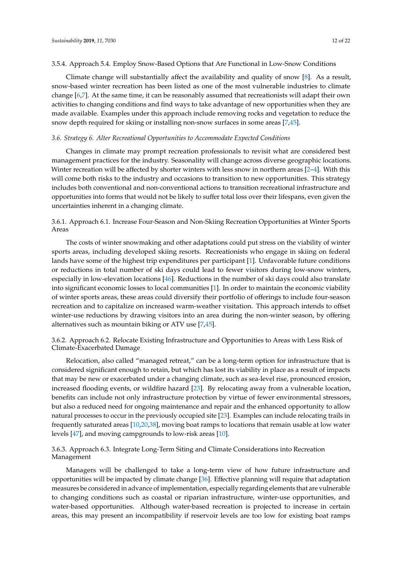# 3.5.4. Approach 5.4. Employ Snow-Based Options that Are Functional in Low-Snow Conditions

Climate change will substantially affect the availability and quality of snow [\[8\]](#page-19-6). As a result, snow-based winter recreation has been listed as one of the most vulnerable industries to climate change [\[6,](#page-19-4)[7\]](#page-19-5). At the same time, it can be reasonably assumed that recreationists will adapt their own activities to changing conditions and find ways to take advantage of new opportunities when they are made available. Examples under this approach include removing rocks and vegetation to reduce the snow depth required for skiing or installing non-snow surfaces in some areas [\[7](#page-19-5)[,45\]](#page-21-1).

#### *3.6. Strategy 6. Alter Recreational Opportunities to Accommodate Expected Conditions*

Changes in climate may prompt recreation professionals to revisit what are considered best management practices for the industry. Seasonality will change across diverse geographic locations. Winter recreation will be affected by shorter winters with less snow in northern areas [\[2–](#page-19-1)[4\]](#page-19-2). With this will come both risks to the industry and occasions to transition to new opportunities. This strategy includes both conventional and non-conventional actions to transition recreational infrastructure and opportunities into forms that would not be likely to suffer total loss over their lifespans, even given the uncertainties inherent in a changing climate.

3.6.1. Approach 6.1. Increase Four-Season and Non-Skiing Recreation Opportunities at Winter Sports Areas

The costs of winter snowmaking and other adaptations could put stress on the viability of winter sports areas, including developed skiing resorts. Recreationists who engage in skiing on federal lands have some of the highest trip expenditures per participant [\[1\]](#page-19-0). Unfavorable future conditions or reductions in total number of ski days could lead to fewer visitors during low-snow winters, especially in low-elevation locations [\[46\]](#page-21-2). Reductions in the number of ski days could also translate into significant economic losses to local communities [\[1\]](#page-19-0). In order to maintain the economic viability of winter sports areas, these areas could diversify their portfolio of offerings to include four-season recreation and to capitalize on increased warm-weather visitation. This approach intends to offset winter-use reductions by drawing visitors into an area during the non-winter season, by offering alternatives such as mountain biking or ATV use [\[7,](#page-19-5)[45\]](#page-21-1).

3.6.2. Approach 6.2. Relocate Existing Infrastructure and Opportunities to Areas with Less Risk of Climate-Exacerbated Damage

Relocation, also called "managed retreat," can be a long-term option for infrastructure that is considered significant enough to retain, but which has lost its viability in place as a result of impacts that may be new or exacerbated under a changing climate, such as sea-level rise, pronounced erosion, increased flooding events, or wildfire hazard [\[23\]](#page-20-4). By relocating away from a vulnerable location, benefits can include not only infrastructure protection by virtue of fewer environmental stressors, but also a reduced need for ongoing maintenance and repair and the enhanced opportunity to allow natural processes to occur in the previously occupied site [\[23\]](#page-20-4). Examples can include relocating trails in frequently saturated areas [\[10](#page-19-8)[,20](#page-20-1)[,38\]](#page-20-19), moving boat ramps to locations that remain usable at low water levels [\[47\]](#page-21-3), and moving campgrounds to low-risk areas [\[10\]](#page-19-8).

3.6.3. Approach 6.3. Integrate Long-Term Siting and Climate Considerations into Recreation Management

Managers will be challenged to take a long-term view of how future infrastructure and opportunities will be impacted by climate change [\[36\]](#page-20-17). Effective planning will require that adaptation measures be considered in advance of implementation, especially regarding elements that are vulnerable to changing conditions such as coastal or riparian infrastructure, winter-use opportunities, and water-based opportunities. Although water-based recreation is projected to increase in certain areas, this may present an incompatibility if reservoir levels are too low for existing boat ramps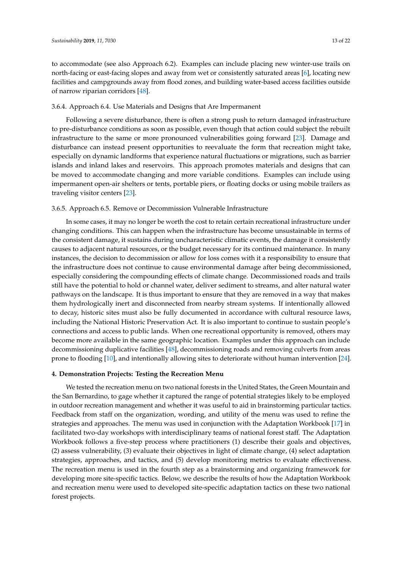to accommodate (see also Approach 6.2). Examples can include placing new winter-use trails on north-facing or east-facing slopes and away from wet or consistently saturated areas [\[6\]](#page-19-4), locating new facilities and campgrounds away from flood zones, and building water-based access facilities outside of narrow riparian corridors [\[48\]](#page-21-4).

# 3.6.4. Approach 6.4. Use Materials and Designs that Are Impermanent

Following a severe disturbance, there is often a strong push to return damaged infrastructure to pre-disturbance conditions as soon as possible, even though that action could subject the rebuilt infrastructure to the same or more pronounced vulnerabilities going forward [\[23\]](#page-20-4). Damage and disturbance can instead present opportunities to reevaluate the form that recreation might take, especially on dynamic landforms that experience natural fluctuations or migrations, such as barrier islands and inland lakes and reservoirs. This approach promotes materials and designs that can be moved to accommodate changing and more variable conditions. Examples can include using impermanent open-air shelters or tents, portable piers, or floating docks or using mobile trailers as traveling visitor centers [\[23\]](#page-20-4).

# 3.6.5. Approach 6.5. Remove or Decommission Vulnerable Infrastructure

In some cases, it may no longer be worth the cost to retain certain recreational infrastructure under changing conditions. This can happen when the infrastructure has become unsustainable in terms of the consistent damage, it sustains during uncharacteristic climatic events, the damage it consistently causes to adjacent natural resources, or the budget necessary for its continued maintenance. In many instances, the decision to decommission or allow for loss comes with it a responsibility to ensure that the infrastructure does not continue to cause environmental damage after being decommissioned, especially considering the compounding effects of climate change. Decommissioned roads and trails still have the potential to hold or channel water, deliver sediment to streams, and alter natural water pathways on the landscape. It is thus important to ensure that they are removed in a way that makes them hydrologically inert and disconnected from nearby stream systems. If intentionally allowed to decay, historic sites must also be fully documented in accordance with cultural resource laws, including the National Historic Preservation Act. It is also important to continue to sustain people's connections and access to public lands. When one recreational opportunity is removed, others may become more available in the same geographic location. Examples under this approach can include decommissioning duplicative facilities [\[48\]](#page-21-4), decommissioning roads and removing culverts from areas prone to flooding [\[10\]](#page-19-8), and intentionally allowing sites to deteriorate without human intervention [\[24\]](#page-20-5).

# **4. Demonstration Projects: Testing the Recreation Menu**

We tested the recreation menu on two national forests in the United States, the Green Mountain and the San Bernardino, to gage whether it captured the range of potential strategies likely to be employed in outdoor recreation management and whether it was useful to aid in brainstorming particular tactics. Feedback from staff on the organization, wording, and utility of the menu was used to refine the strategies and approaches. The menu was used in conjunction with the Adaptation Workbook [\[17\]](#page-19-15) in facilitated two-day workshops with interdisciplinary teams of national forest staff. The Adaptation Workbook follows a five-step process where practitioners (1) describe their goals and objectives, (2) assess vulnerability, (3) evaluate their objectives in light of climate change, (4) select adaptation strategies, approaches, and tactics, and (5) develop monitoring metrics to evaluate effectiveness. The recreation menu is used in the fourth step as a brainstorming and organizing framework for developing more site-specific tactics. Below, we describe the results of how the Adaptation Workbook and recreation menu were used to developed site-specific adaptation tactics on these two national forest projects.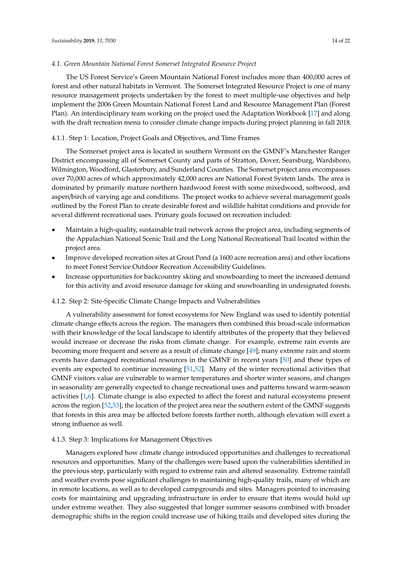# *4.1. Green Mountain National Forest Somerset Integrated Resource Project*

The US Forest Service's Green Mountain National Forest includes more than 400,000 acres of forest and other natural habitats in Vermont. The Somerset Integrated Resource Project is one of many resource management projects undertaken by the forest to meet multiple-use objectives and help implement the 2006 Green Mountain National Forest Land and Resource Management Plan (Forest Plan). An interdisciplinary team working on the project used the Adaptation Workbook [\[17\]](#page-19-15) and along with the draft recreation menu to consider climate change impacts during project planning in fall 2018.

# 4.1.1. Step 1: Location, Project Goals and Objectives, and Time Frames

The Somerset project area is located in southern Vermont on the GMNF's Manchester Ranger District encompassing all of Somerset County and parts of Stratton, Dover, Searsburg, Wardsboro, Wilmington, Woodford, Glasterbury, and Sunderland Counties. The Somerset project area encompasses over 70,000 acres of which approximately 42,000 acres are National Forest System lands. The area is dominated by primarily mature northern hardwood forest with some mixedwood, softwood, and aspen/birch of varying age and conditions. The project works to achieve several management goals outlined by the Forest Plan to create desirable forest and wildlife habitat conditions and provide for several different recreational uses. Primary goals focused on recreation included:

- Maintain a high-quality, sustainable trail network across the project area, including segments of the Appalachian National Scenic Trail and the Long National Recreational Trail located within the project area.
- Improve developed recreation sites at Grout Pond (a 1600 acre recreation area) and other locations to meet Forest Service Outdoor Recreation Accessibility Guidelines.
- Increase opportunities for backcountry skiing and snowboarding to meet the increased demand for this activity and avoid resource damage for skiing and snowboarding in undesignated forests.

#### 4.1.2. Step 2: Site-Specific Climate Change Impacts and Vulnerabilities

A vulnerability assessment for forest ecosystems for New England was used to identify potential climate change effects across the region. The managers then combined this broad-scale information with their knowledge of the local landscape to identify attributes of the property that they believed would increase or decrease the risks from climate change. For example, extreme rain events are becoming more frequent and severe as a result of climate change [\[49\]](#page-21-5); many extreme rain and storm events have damaged recreational resources in the GMNF in recent years [\[50\]](#page-21-6) and these types of events are expected to continue increasing [\[51,](#page-21-7)[52\]](#page-21-8). Many of the winter recreational activities that GMNF visitors value are vulnerable to warmer temperatures and shorter winter seasons, and changes in seasonality are generally expected to change recreational uses and patterns toward warm-season activities [\[1](#page-19-0)[,6\]](#page-19-4). Climate change is also expected to affect the forest and natural ecosystems present across the region [\[52,](#page-21-8)[53\]](#page-21-9); the location of the project area near the southern extent of the GMNF suggests that forests in this area may be affected before forests farther north, although elevation will exert a strong influence as well.

#### 4.1.3. Step 3: Implications for Management Objectives

Managers explored how climate change introduced opportunities and challenges to recreational resources and opportunities. Many of the challenges were based upon the vulnerabilities identified in the previous step, particularly with regard to extreme rain and altered seasonality. Extreme rainfall and weather events pose significant challenges to maintaining high-quality trails, many of which are in remote locations, as well as to developed campgrounds and sites. Managers pointed to increasing costs for maintaining and upgrading infrastructure in order to ensure that items would hold up under extreme weather. They also suggested that longer summer seasons combined with broader demographic shifts in the region could increase use of hiking trails and developed sites during the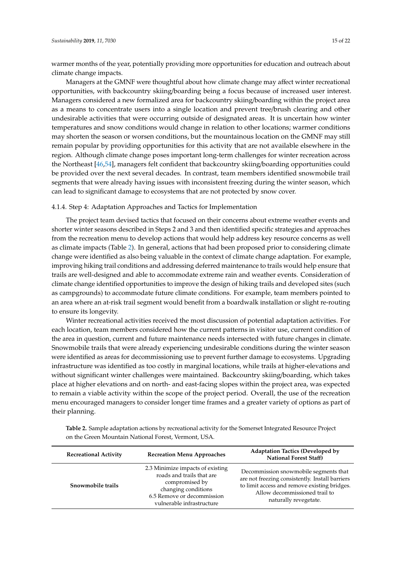warmer months of the year, potentially providing more opportunities for education and outreach about climate change impacts.

Managers at the GMNF were thoughtful about how climate change may affect winter recreational opportunities, with backcountry skiing/boarding being a focus because of increased user interest. Managers considered a new formalized area for backcountry skiing/boarding within the project area as a means to concentrate users into a single location and prevent tree/brush clearing and other undesirable activities that were occurring outside of designated areas. It is uncertain how winter temperatures and snow conditions would change in relation to other locations; warmer conditions may shorten the season or worsen conditions, but the mountainous location on the GMNF may still remain popular by providing opportunities for this activity that are not available elsewhere in the region. Although climate change poses important long-term challenges for winter recreation across the Northeast [\[46](#page-21-2)[,54\]](#page-21-10), managers felt confident that backcountry skiing/boarding opportunities could be provided over the next several decades. In contrast, team members identified snowmobile trail segments that were already having issues with inconsistent freezing during the winter season, which can lead to significant damage to ecosystems that are not protected by snow cover.

#### 4.1.4. Step 4: Adaptation Approaches and Tactics for Implementation

The project team devised tactics that focused on their concerns about extreme weather events and shorter winter seasons described in Steps 2 and 3 and then identified specific strategies and approaches from the recreation menu to develop actions that would help address key resource concerns as well as climate impacts (Table [2\)](#page-15-0). In general, actions that had been proposed prior to considering climate change were identified as also being valuable in the context of climate change adaptation. For example, improving hiking trail conditions and addressing deferred maintenance to trails would help ensure that trails are well-designed and able to accommodate extreme rain and weather events. Consideration of climate change identified opportunities to improve the design of hiking trails and developed sites (such as campgrounds) to accommodate future climate conditions. For example, team members pointed to an area where an at-risk trail segment would benefit from a boardwalk installation or slight re-routing to ensure its longevity.

Winter recreational activities received the most discussion of potential adaptation activities. For each location, team members considered how the current patterns in visitor use, current condition of the area in question, current and future maintenance needs intersected with future changes in climate. Snowmobile trails that were already experiencing undesirable conditions during the winter season were identified as areas for decommissioning use to prevent further damage to ecosystems. Upgrading infrastructure was identified as too costly in marginal locations, while trails at higher-elevations and without significant winter challenges were maintained. Backcountry skiing/boarding, which takes place at higher elevations and on north- and east-facing slopes within the project area, was expected to remain a viable activity within the scope of the project period. Overall, the use of the recreation menu encouraged managers to consider longer time frames and a greater variety of options as part of their planning.

**Table 2.** Sample adaptation actions by recreational activity for the Somerset Integrated Resource Project on the Green Mountain National Forest, Vermont, USA.

| <b>Recreational Activity</b> | <b>Recreation Menu Approaches</b>                                                                                                                                 | <b>Adaptation Tactics (Developed by</b><br><b>National Forest Staff)</b>                                                                                                                           |
|------------------------------|-------------------------------------------------------------------------------------------------------------------------------------------------------------------|----------------------------------------------------------------------------------------------------------------------------------------------------------------------------------------------------|
| Snowmobile trails            | 2.3 Minimize impacts of existing<br>roads and trails that are<br>compromised by<br>changing conditions<br>6.5 Remove or decommission<br>vulnerable infrastructure | Decommission snowmobile segments that<br>are not freezing consistently. Install barriers<br>to limit access and remove existing bridges.<br>Allow decommissioned trail to<br>naturally revegetate. |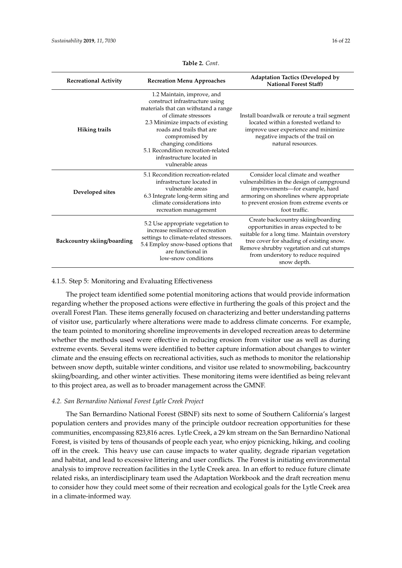<span id="page-15-0"></span>

| <b>Recreational Activity</b> | <b>Recreation Menu Approaches</b>                                                                                                                                                                                                                                                                                             | <b>Adaptation Tactics (Developed by</b><br><b>National Forest Staff)</b>                                                                                                                                                                                                 |
|------------------------------|-------------------------------------------------------------------------------------------------------------------------------------------------------------------------------------------------------------------------------------------------------------------------------------------------------------------------------|--------------------------------------------------------------------------------------------------------------------------------------------------------------------------------------------------------------------------------------------------------------------------|
| Hiking trails                | 1.2 Maintain, improve, and<br>construct infrastructure using<br>materials that can withstand a range<br>of climate stressors<br>2.3 Minimize impacts of existing<br>roads and trails that are<br>compromised by<br>changing conditions<br>5.1 Recondition recreation-related<br>infrastructure located in<br>vulnerable areas | Install boardwalk or reroute a trail segment<br>located within a forested wetland to<br>improve user experience and minimize<br>negative impacts of the trail on<br>natural resources.                                                                                   |
| Developed sites              | 5.1 Recondition recreation-related<br>infrastructure located in<br>vulnerable areas<br>6.3 Integrate long-term siting and<br>climate considerations into<br>recreation management                                                                                                                                             | Consider local climate and weather<br>vulnerabilities in the design of campground<br>improvements-for example, hard<br>armoring on shorelines where appropriate<br>to prevent erosion from extreme events or<br>foot traffic.                                            |
| Backcountry skiing/boarding  | 5.2 Use appropriate vegetation to<br>increase resilience of recreation<br>settings to climate-related stressors.<br>5.4 Employ snow-based options that<br>are functional in<br>low-snow conditions                                                                                                                            | Create backcountry skiing/boarding<br>opportunities in areas expected to be<br>suitable for a long time. Maintain overstory<br>tree cover for shading of existing snow.<br>Remove shrubby vegetation and cut stumps<br>from understory to reduce required<br>snow depth. |

#### **Table 2.** *Cont*.

# 4.1.5. Step 5: Monitoring and Evaluating Effectiveness

The project team identified some potential monitoring actions that would provide information regarding whether the proposed actions were effective in furthering the goals of this project and the overall Forest Plan. These items generally focused on characterizing and better understanding patterns of visitor use, particularly where alterations were made to address climate concerns. For example, the team pointed to monitoring shoreline improvements in developed recreation areas to determine whether the methods used were effective in reducing erosion from visitor use as well as during extreme events. Several items were identified to better capture information about changes to winter climate and the ensuing effects on recreational activities, such as methods to monitor the relationship between snow depth, suitable winter conditions, and visitor use related to snowmobiling, backcountry skiing/boarding, and other winter activities. These monitoring items were identified as being relevant to this project area, as well as to broader management across the GMNF.

#### *4.2. San Bernardino National Forest Lytle Creek Project*

The San Bernardino National Forest (SBNF) sits next to some of Southern California's largest population centers and provides many of the principle outdoor recreation opportunities for these communities, encompassing 823,816 acres. Lytle Creek, a 29 km stream on the San Bernardino National Forest, is visited by tens of thousands of people each year, who enjoy picnicking, hiking, and cooling off in the creek. This heavy use can cause impacts to water quality, degrade riparian vegetation and habitat, and lead to excessive littering and user conflicts. The Forest is initiating environmental analysis to improve recreation facilities in the Lytle Creek area. In an effort to reduce future climate related risks, an interdisciplinary team used the Adaptation Workbook and the draft recreation menu to consider how they could meet some of their recreation and ecological goals for the Lytle Creek area in a climate-informed way.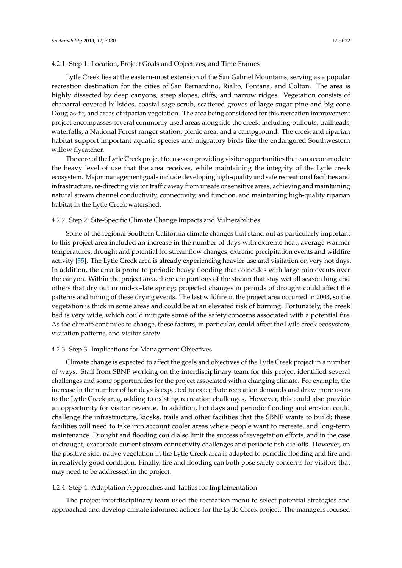## 4.2.1. Step 1: Location, Project Goals and Objectives, and Time Frames

Lytle Creek lies at the eastern-most extension of the San Gabriel Mountains, serving as a popular recreation destination for the cities of San Bernardino, Rialto, Fontana, and Colton. The area is highly dissected by deep canyons, steep slopes, cliffs, and narrow ridges. Vegetation consists of chaparral-covered hillsides, coastal sage scrub, scattered groves of large sugar pine and big cone Douglas-fir, and areas of riparian vegetation. The area being considered for this recreation improvement project encompasses several commonly used areas alongside the creek, including pullouts, trailheads, waterfalls, a National Forest ranger station, picnic area, and a campground. The creek and riparian habitat support important aquatic species and migratory birds like the endangered Southwestern willow flycatcher.

The core of the Lytle Creek project focuses on providing visitor opportunities that can accommodate the heavy level of use that the area receives, while maintaining the integrity of the Lytle creek ecosystem. Major management goals include developing high-quality and safe recreational facilities and infrastructure, re-directing visitor traffic away from unsafe or sensitive areas, achieving and maintaining natural stream channel conductivity, connectivity, and function, and maintaining high-quality riparian habitat in the Lytle Creek watershed.

# 4.2.2. Step 2: Site-Specific Climate Change Impacts and Vulnerabilities

Some of the regional Southern California climate changes that stand out as particularly important to this project area included an increase in the number of days with extreme heat, average warmer temperatures, drought and potential for streamflow changes, extreme precipitation events and wildfire activity [\[55\]](#page-21-11). The Lytle Creek area is already experiencing heavier use and visitation on very hot days. In addition, the area is prone to periodic heavy flooding that coincides with large rain events over the canyon. Within the project area, there are portions of the stream that stay wet all season long and others that dry out in mid-to-late spring; projected changes in periods of drought could affect the patterns and timing of these drying events. The last wildfire in the project area occurred in 2003, so the vegetation is thick in some areas and could be at an elevated risk of burning. Fortunately, the creek bed is very wide, which could mitigate some of the safety concerns associated with a potential fire. As the climate continues to change, these factors, in particular, could affect the Lytle creek ecosystem, visitation patterns, and visitor safety.

## 4.2.3. Step 3: Implications for Management Objectives

Climate change is expected to affect the goals and objectives of the Lytle Creek project in a number of ways. Staff from SBNF working on the interdisciplinary team for this project identified several challenges and some opportunities for the project associated with a changing climate. For example, the increase in the number of hot days is expected to exacerbate recreation demands and draw more users to the Lytle Creek area, adding to existing recreation challenges. However, this could also provide an opportunity for visitor revenue. In addition, hot days and periodic flooding and erosion could challenge the infrastructure, kiosks, trails and other facilities that the SBNF wants to build; these facilities will need to take into account cooler areas where people want to recreate, and long-term maintenance. Drought and flooding could also limit the success of revegetation efforts, and in the case of drought, exacerbate current stream connectivity challenges and periodic fish die-offs. However, on the positive side, native vegetation in the Lytle Creek area is adapted to periodic flooding and fire and in relatively good condition. Finally, fire and flooding can both pose safety concerns for visitors that may need to be addressed in the project.

# 4.2.4. Step 4: Adaptation Approaches and Tactics for Implementation

The project interdisciplinary team used the recreation menu to select potential strategies and approached and develop climate informed actions for the Lytle Creek project. The managers focused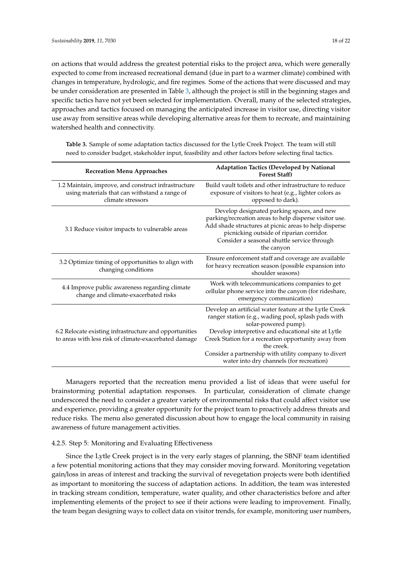on actions that would address the greatest potential risks to the project area, which were generally expected to come from increased recreational demand (due in part to a warmer climate) combined with changes in temperature, hydrologic, and fire regimes. Some of the actions that were discussed and may be under consideration are presented in Table [3,](#page-17-0) although the project is still in the beginning stages and specific tactics have not yet been selected for implementation. Overall, many of the selected strategies, approaches and tactics focused on managing the anticipated increase in visitor use, directing visitor use away from sensitive areas while developing alternative areas for them to recreate, and maintaining watershed health and connectivity.

<span id="page-17-0"></span>**Table 3.** Sample of some adaptation tactics discussed for the Lytle Creek Project. The team will still need to consider budget, stakeholder input, feasibility and other factors before selecting final tactics.

| <b>Recreation Menu Approaches</b>                                                                                         | <b>Adaptation Tactics (Developed by National</b><br><b>Forest Staff)</b>                                                                                                                                                                                                                                                                                               |  |
|---------------------------------------------------------------------------------------------------------------------------|------------------------------------------------------------------------------------------------------------------------------------------------------------------------------------------------------------------------------------------------------------------------------------------------------------------------------------------------------------------------|--|
| 1.2 Maintain, improve, and construct infrastructure<br>using materials that can withstand a range of<br>climate stressors | Build vault toilets and other infrastructure to reduce<br>exposure of visitors to heat (e.g., lighter colors as<br>opposed to dark).                                                                                                                                                                                                                                   |  |
| 3.1 Reduce visitor impacts to vulnerable areas                                                                            | Develop designated parking spaces, and new<br>parking/recreation areas to help disperse visitor use.<br>Add shade structures at picnic areas to help disperse<br>picnicking outside of riparian corridor.<br>Consider a seasonal shuttle service through<br>the canyon                                                                                                 |  |
| 3.2 Optimize timing of opportunities to align with<br>changing conditions                                                 | Ensure enforcement staff and coverage are available<br>for heavy recreation season (possible expansion into<br>shoulder seasons)                                                                                                                                                                                                                                       |  |
| 4.4 Improve public awareness regarding climate<br>change and climate-exacerbated risks                                    | Work with telecommunications companies to get<br>cellular phone service into the canyon (for rideshare,<br>emergency communication)                                                                                                                                                                                                                                    |  |
| 6.2 Relocate existing infrastructure and opportunities<br>to areas with less risk of climate-exacerbated damage           | Develop an artificial water feature at the Lytle Creek<br>ranger station (e.g., wading pool, splash pads with<br>solar-powered pump).<br>Develop interpretive and educational site at Lytle<br>Creek Station for a recreation opportunity away from<br>the creek.<br>Consider a partnership with utility company to divert<br>water into dry channels (for recreation) |  |

Managers reported that the recreation menu provided a list of ideas that were useful for brainstorming potential adaptation responses. In particular, consideration of climate change underscored the need to consider a greater variety of environmental risks that could affect visitor use and experience, providing a greater opportunity for the project team to proactively address threats and reduce risks. The menu also generated discussion about how to engage the local community in raising awareness of future management activities.

# 4.2.5. Step 5: Monitoring and Evaluating Effectiveness

Since the Lytle Creek project is in the very early stages of planning, the SBNF team identified a few potential monitoring actions that they may consider moving forward. Monitoring vegetation gain/loss in areas of interest and tracking the survival of revegetation projects were both identified as important to monitoring the success of adaptation actions. In addition, the team was interested in tracking stream condition, temperature, water quality, and other characteristics before and after implementing elements of the project to see if their actions were leading to improvement. Finally, the team began designing ways to collect data on visitor trends, for example, monitoring user numbers,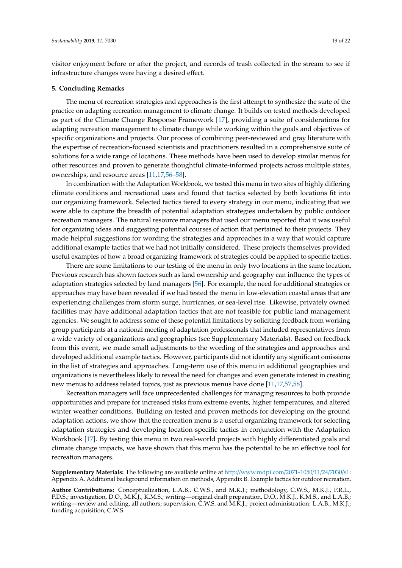visitor enjoyment before or after the project, and records of trash collected in the stream to see if infrastructure changes were having a desired effect.

## **5. Concluding Remarks**

The menu of recreation strategies and approaches is the first attempt to synthesize the state of the practice on adapting recreation management to climate change. It builds on tested methods developed as part of the Climate Change Response Framework [\[17\]](#page-19-15), providing a suite of considerations for adapting recreation management to climate change while working within the goals and objectives of specific organizations and projects. Our process of combining peer-reviewed and gray literature with the expertise of recreation-focused scientists and practitioners resulted in a comprehensive suite of solutions for a wide range of locations. These methods have been used to develop similar menus for other resources and proven to generate thoughtful climate-informed projects across multiple states, ownerships, and resource areas [\[11](#page-19-9)[,17](#page-19-15)[,56](#page-21-12)[–58\]](#page-21-13).

In combination with the Adaptation Workbook, we tested this menu in two sites of highly differing climate conditions and recreational uses and found that tactics selected by both locations fit into our organizing framework. Selected tactics tiered to every strategy in our menu, indicating that we were able to capture the breadth of potential adaptation strategies undertaken by public outdoor recreation managers. The natural resource managers that used our menu reported that it was useful for organizing ideas and suggesting potential courses of action that pertained to their projects. They made helpful suggestions for wording the strategies and approaches in a way that would capture additional example tactics that we had not initially considered. These projects themselves provided useful examples of how a broad organizing framework of strategies could be applied to specific tactics.

There are some limitations to our testing of the menu in only two locations in the same location. Previous research has shown factors such as land ownership and geography can influence the types of adaptation strategies selected by land managers [\[56\]](#page-21-12). For example, the need for additional strategies or approaches may have been revealed if we had tested the menu in low-elevation coastal areas that are experiencing challenges from storm surge, hurricanes, or sea-level rise. Likewise, privately owned facilities may have additional adaptation tactics that are not feasible for public land management agencies. We sought to address some of these potential limitations by soliciting feedback from working group participants at a national meeting of adaptation professionals that included representatives from a wide variety of organizations and geographies (see Supplementary Materials). Based on feedback from this event, we made small adjustments to the wording of the strategies and approaches and developed additional example tactics. However, participants did not identify any significant omissions in the list of strategies and approaches. Long-term use of this menu in additional geographies and organizations is nevertheless likely to reveal the need for changes and even generate interest in creating new menus to address related topics, just as previous menus have done [\[11](#page-19-9)[,17](#page-19-15)[,57,](#page-21-14)[58\]](#page-21-13).

Recreation managers will face unprecedented challenges for managing resources to both provide opportunities and prepare for increased risks from extreme events, higher temperatures, and altered winter weather conditions. Building on tested and proven methods for developing on the ground adaptation actions, we show that the recreation menu is a useful organizing framework for selecting adaptation strategies and developing location-specific tactics in conjunction with the Adaptation Workbook [\[17\]](#page-19-15). By testing this menu in two real-world projects with highly differentiated goals and climate change impacts, we have shown that this menu has the potential to be an effective tool for recreation managers.

**Supplementary Materials:** The following are available online at http://[www.mdpi.com](http://www.mdpi.com/2071-1050/11/24/7030/s1)/2071-1050/11/24/7030/s1: Appendix A. Additional background information on methods, Appendix B. Example tactics for outdoor recreation.

**Author Contributions:** Conceptualization, L.A.B., C.W.S., and M.K.J.; methodology, C.W.S., M.K.J., P.R.L., P.D.S.; investigation, D.O., M.K.J., K.M.S.; writing—original draft preparation, D.O., M.K.J., K.M.S., and L.A.B.; writing—review and editing, all authors; supervision, C.W.S. and M.K.J.; project administration: L.A.B., M.K.J.; funding acquisition, C.W.S.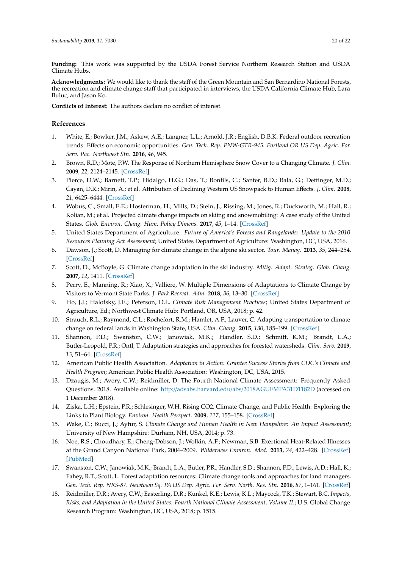**Funding:** This work was supported by the USDA Forest Service Northern Research Station and USDA Climate Hubs.

**Acknowledgments:** We would like to thank the staff of the Green Mountain and San Bernardino National Forests, the recreation and climate change staff that participated in interviews, the USDA California Climate Hub, Lara Buluc, and Jason Ko.

**Conflicts of Interest:** The authors declare no conflict of interest.

# **References**

- <span id="page-19-0"></span>1. White, E.; Bowker, J.M.; Askew, A.E.; Langner, L.L.; Arnold, J.R.; English, D.B.K. Federal outdoor recreation trends: Effects on economic opportunities. *Gen. Tech. Rep. PNW-GTR-945. Portland OR US Dep. Agric. For. Serv. Pac. Northwest Stn.* **2016**, *46*, 945.
- <span id="page-19-1"></span>2. Brown, R.D.; Mote, P.W. The Response of Northern Hemisphere Snow Cover to a Changing Climate. *J. Clim.* **2009**, *22*, 2124–2145. [\[CrossRef\]](http://dx.doi.org/10.1175/2008JCLI2665.1)
- 3. Pierce, D.W.; Barnett, T.P.; Hidalgo, H.G.; Das, T.; Bonfils, C.; Santer, B.D.; Bala, G.; Dettinger, M.D.; Cayan, D.R.; Mirin, A.; et al. Attribution of Declining Western US Snowpack to Human Effects. *J. Clim.* **2008**, *21*, 6425–6444. [\[CrossRef\]](http://dx.doi.org/10.1175/2008JCLI2405.1)
- <span id="page-19-2"></span>4. Wobus, C.; Small, E.E.; Hosterman, H.; Mills, D.; Stein, J.; Rissing, M.; Jones, R.; Duckworth, M.; Hall, R.; Kolian, M.; et al. Projected climate change impacts on skiing and snowmobiling: A case study of the United States. *Glob. Environ. Chang. Hum. Policy Dimens.* **2017**, *45*, 1–14. [\[CrossRef\]](http://dx.doi.org/10.1016/j.gloenvcha.2017.04.006)
- <span id="page-19-3"></span>5. United States Department of Agriculture. *Future of America's Forests and Rangelands: Update to the 2010 Resources Planning Act Assessment*; United States Department of Agriculture: Washington, DC, USA, 2016.
- <span id="page-19-4"></span>6. Dawson, J.; Scott, D. Managing for climate change in the alpine ski sector. *Tour. Manag.* **2013**, *35*, 244–254. [\[CrossRef\]](http://dx.doi.org/10.1016/j.tourman.2012.07.009)
- <span id="page-19-5"></span>7. Scott, D.; McBoyle, G. Climate change adaptation in the ski industry. *Mitig. Adapt. Strateg. Glob. Chang.* **2007**, *12*, 1411. [\[CrossRef\]](http://dx.doi.org/10.1007/s11027-006-9071-4)
- <span id="page-19-6"></span>8. Perry, E.; Manning, R.; Xiao, X.; Valliere, W. Multiple Dimensions of Adaptations to Climate Change by Visitors to Vermont State Parks. *J. Park Recreat. Adm.* **2018**, *36*, 13–30. [\[CrossRef\]](http://dx.doi.org/10.18666/JPRA-2018-V36-I2-8308)
- <span id="page-19-7"></span>9. Ho, J.J.; Halofsky, J.E.; Peterson, D.L. *Climate Risk Management Practices*; United States Department of Agriculture, Ed.; Northwest Climate Hub: Portland, OR, USA, 2018; p. 42.
- <span id="page-19-8"></span>10. Strauch, R.L.; Raymond, C.L.; Rochefort, R.M.; Hamlet, A.F.; Lauver, C. Adapting transportation to climate change on federal lands in Washington State, USA. *Clim. Chang.* **2015**, *130*, 185–199. [\[CrossRef\]](http://dx.doi.org/10.1007/s10584-015-1357-7)
- <span id="page-19-9"></span>11. Shannon, P.D.; Swanston, C.W.; Janowiak, M.K.; Handler, S.D.; Schmitt, K.M.; Brandt, L.A.; Butler-Leopold, P.R.; Ontl, T. Adaptation strategies and approaches for forested watersheds. *Clim. Serv.* **2019**, *13*, 51–64. [\[CrossRef\]](http://dx.doi.org/10.1016/j.cliser.2019.01.005)
- <span id="page-19-10"></span>12. American Public Health Association. *Adaptation in Action: Grantee Success Stories from CDC's Climate and Health Program*; American Public Health Association: Washington, DC, USA, 2015.
- <span id="page-19-11"></span>13. Dzaugis, M.; Avery, C.W.; Reidmiller, D. The Fourth National Climate Assessment: Frequently Asked Questions. 2018. Available online: http://adsabs.harvard.edu/abs/[2018AGUFMPA31D1182D](http://adsabs.harvard.edu/abs/2018AGUFMPA31D1182D) (accessed on 1 December 2018).
- <span id="page-19-12"></span>14. Ziska, L.H.; Epstein, P.R.; Schlesinger, W.H. Rising CO2, Climate Change, and Public Health: Exploring the Links to Plant Biology. *Environ. Health Perspect.* **2009**, *117*, 155–158. [\[CrossRef\]](http://dx.doi.org/10.1289/ehp.11501)
- <span id="page-19-13"></span>15. Wake, C.; Bucci, J.; Aytur, S. *Climate Change and Human Health in New Hampshire: An Impact Assessment*; University of New Hampshire: Durham, NH, USA, 2014; p. 73.
- <span id="page-19-14"></span>16. Noe, R.S.; Choudhary, E.; Cheng-Dobson, J.; Wolkin, A.F.; Newman, S.B. Exertional Heat-Related Illnesses at the Grand Canyon National Park, 2004–2009. *Wilderness Environ. Med.* **2013**, *24*, 422–428. [\[CrossRef\]](http://dx.doi.org/10.1016/j.wem.2013.06.008) [\[PubMed\]](http://www.ncbi.nlm.nih.gov/pubmed/24119571)
- <span id="page-19-15"></span>17. Swanston, C.W.; Janowiak, M.K.; Brandt, L.A.; Butler, P.R.; Handler, S.D.; Shannon, P.D.; Lewis, A.D.; Hall, K.; Fahey, R.T.; Scott, L. Forest adaptation resources: Climate change tools and approaches for land managers. *Gen. Tech. Rep. NRS-87. Newtown Sq. PA US Dep. Agric. For. Serv. North. Res. Stn.* **2016**, *87*, 1–161. [\[CrossRef\]](http://dx.doi.org/10.2737/NRS-GTR-87-2)
- <span id="page-19-16"></span>18. Reidmiller, D.R.; Avery, C.W.; Easterling, D.R.; Kunkel, K.E.; Lewis, K.L.; Maycock, T.K.; Stewart, B.C. *Impacts, Risks, and Adaptation in the United States: Fourth National Climate Assessment, Volume II.*; U.S. Global Change Research Program: Washington, DC, USA, 2018; p. 1515.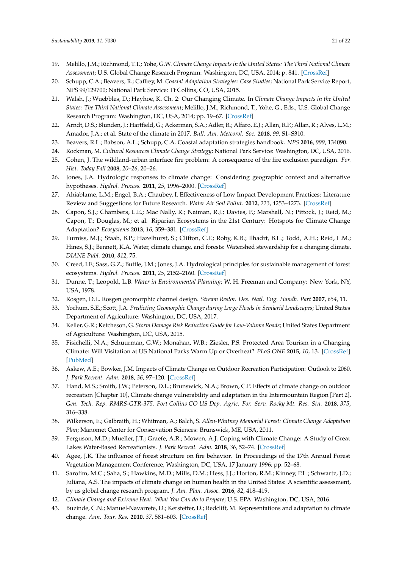- <span id="page-20-0"></span>19. Melillo, J.M.; Richmond, T.T.; Yohe, G.W. *Climate Change Impacts in the United States: The Third National Climate Assessment*; U.S. Global Change Research Program: Washington, DC, USA, 2014; p. 841. [\[CrossRef\]](http://dx.doi.org/10.7930/J0Z31WJ2)
- <span id="page-20-1"></span>20. Schupp, C.A.; Beavers, R.; Caffrey, M. *Coastal Adaptation Strategies: Case Studies*; National Park Service Report, NPS 99/129700; National Park Service: Ft Collins, CO, USA, 2015.
- <span id="page-20-2"></span>21. Walsh, J.; Wuebbles, D.; Hayhoe, K. Ch. 2: Our Changing Climate. In *Climate Change Impacts in the United States: The Third National Climate Assessment*; Melillo, J.M., Richmond, T., Yohe, G., Eds.; U.S. Global Change Research Program: Washington, DC, USA, 2014; pp. 19–67. [\[CrossRef\]](http://dx.doi.org/10.7930/J0KW5CXT)
- <span id="page-20-3"></span>22. Arndt, D.S.; Blunden, J.; Hartfield, G.; Ackerman, S.A.; Adler, R.; Alfaro, E.J.; Allan, R.P.; Allan, R.; Alves, L.M.; Amador, J.A.; et al. State of the climate in 2017. *Bull. Am. Meteorol. Soc.* **2018**, *99*, S1–S310.
- <span id="page-20-4"></span>23. Beavers, R.L.; Babson, A.L.; Schupp, C.A. Coastal adaptation strategies handbook. *NPS* **2016**, *999*, 134090.
- <span id="page-20-5"></span>24. Rockman, M. *Cultural Resources Climate Change Strategy*; National Park Service: Washington, DC, USA, 2016.
- <span id="page-20-6"></span>25. Cohen, J. The wildland-urban interface fire problem: A consequence of the fire exclusion paradigm. *For. Hist. Today Fall* **2008**, *20–26*, 20–26.
- <span id="page-20-7"></span>26. Jones, J.A. Hydrologic responses to climate change: Considering geographic context and alternative hypotheses. *Hydrol. Process.* **2011**, *25*, 1996–2000. [\[CrossRef\]](http://dx.doi.org/10.1002/hyp.8004)
- <span id="page-20-8"></span>27. Ahiablame, L.M.; Engel, B.A.; Chaubey, I. Effectiveness of Low Impact Development Practices: Literature Review and Suggestions for Future Research. *Water Air Soil Pollut.* **2012**, *223*, 4253–4273. [\[CrossRef\]](http://dx.doi.org/10.1007/s11270-012-1189-2)
- <span id="page-20-9"></span>28. Capon, S.J.; Chambers, L.E.; Mac Nally, R.; Naiman, R.J.; Davies, P.; Marshall, N.; Pittock, J.; Reid, M.; Capon, T.; Douglas, M.; et al. Riparian Ecosystems in the 21st Century: Hotspots for Climate Change Adaptation? *Ecosystems* **2013**, *16*, 359–381. [\[CrossRef\]](http://dx.doi.org/10.1007/s10021-013-9656-1)
- <span id="page-20-10"></span>29. Furniss, M.J.; Staab, B.P.; Hazelhurst, S.; Clifton, C.F.; Roby, K.B.; Ilhadrt, B.L.; Todd, A.H.; Reid, L.M.; Hines, S.J.; Bennett, K.A. Water, climate change, and forests: Watershed stewardship for a changing climate. *DIANE Publ.* **2010**, *812*, 75.
- <span id="page-20-11"></span>30. Creed, I.F.; Sass, G.Z.; Buttle, J.M.; Jones, J.A. Hydrological principles for sustainable management of forest ecosystems. *Hydrol. Process.* **2011**, *25*, 2152–2160. [\[CrossRef\]](http://dx.doi.org/10.1002/hyp.8056)
- <span id="page-20-12"></span>31. Dunne, T.; Leopold, L.B. *Water in Environmental Planning*; W. H. Freeman and Company: New York, NY, USA, 1978.
- <span id="page-20-13"></span>32. Rosgen, D.L. Rosgen geomorphic channel design. *Stream Restor. Des. Natl. Eng. Handb. Part* **2007**, *654*, 11.
- <span id="page-20-14"></span>33. Yochum, S.E.; Scott, J.A. *Predicting Geomorphic Change during Large Floods in Semiarid Landscapes*; United States Department of Agriculture: Washington, DC, USA, 2017.
- <span id="page-20-15"></span>34. Keller, G.R.; Ketcheson, G. *Storm Damage Risk Reduction Guide for Low-Volume Roads*; United States Department of Agriculture: Washington, DC, USA, 2015.
- <span id="page-20-16"></span>35. Fisichelli, N.A.; Schuurman, G.W.; Monahan, W.B.; Ziesler, P.S. Protected Area Tourism in a Changing Climate: Will Visitation at US National Parks Warm Up or Overheat? *PLoS ONE* **2015**, *10*, 13. [\[CrossRef\]](http://dx.doi.org/10.1371/journal.pone.0128226) [\[PubMed\]](http://www.ncbi.nlm.nih.gov/pubmed/26083361)
- <span id="page-20-17"></span>36. Askew, A.E.; Bowker, J.M. Impacts of Climate Change on Outdoor Recreation Participation: Outlook to 2060. *J. Park Recreat. Adm.* **2018**, *36*, 97–120. [\[CrossRef\]](http://dx.doi.org/10.18666/JPRA-2018-V36-I2-8316)
- <span id="page-20-18"></span>37. Hand, M.S.; Smith, J.W.; Peterson, D.L.; Brunswick, N.A.; Brown, C.P. Effects of climate change on outdoor recreation [Chapter 10], Climate change vulnerability and adaptation in the Intermountain Region [Part 2]. *Gen. Tech. Rep. RMRS-GTR-375. Fort Collins CO US Dep. Agric. For. Serv. Rocky Mt. Res. Stn.* **2018**, *375*, 316–338.
- <span id="page-20-19"></span>38. Wilkerson, E.; Galbraith, H.; Whitman, A.; Balch, S. *Allen-Whitney Memorial Forest: Climate Change Adaptation Plan*; Manomet Center for Conservation Sciences: Brunswick, ME, USA, 2011.
- <span id="page-20-20"></span>39. Ferguson, M.D.; Mueller, J.T.; Graefe, A.R.; Mowen, A.J. Coping with Climate Change: A Study of Great Lakes Water-Based Recreationists. *J. Park Recreat. Adm.* **2018**, *36*, 52–74. [\[CrossRef\]](http://dx.doi.org/10.18666/JPRA-2018-V36-I2-8296)
- <span id="page-20-21"></span>40. Agee, J.K. The influence of forest structure on fire behavior. In Proceedings of the 17th Annual Forest Vegetation Management Conference, Washington, DC, USA, 17 January 1996; pp. 52–68.
- <span id="page-20-22"></span>41. Sarofim, M.C.; Saha, S.; Hawkins, M.D.; Mills, D.M.; Hess, J.J.; Horton, R.M.; Kinney, P.L.; Schwartz, J.D.; Juliana, A.S. The impacts of climate change on human health in the United States: A scientific assessment, by us global change research program. *J. Am. Plan. Assoc.* **2016**, *82*, 418–419.
- <span id="page-20-23"></span>42. *Climate Change and Extreme Heat: What You Can do to Prepare*; U.S. EPA: Washington, DC, USA, 2016.
- <span id="page-20-24"></span>43. Buzinde, C.N.; Manuel-Navarrete, D.; Kerstetter, D.; Redclift, M. Representations and adaptation to climate change. *Ann. Tour. Res.* **2010**, *37*, 581–603. [\[CrossRef\]](http://dx.doi.org/10.1016/j.annals.2009.10.018)